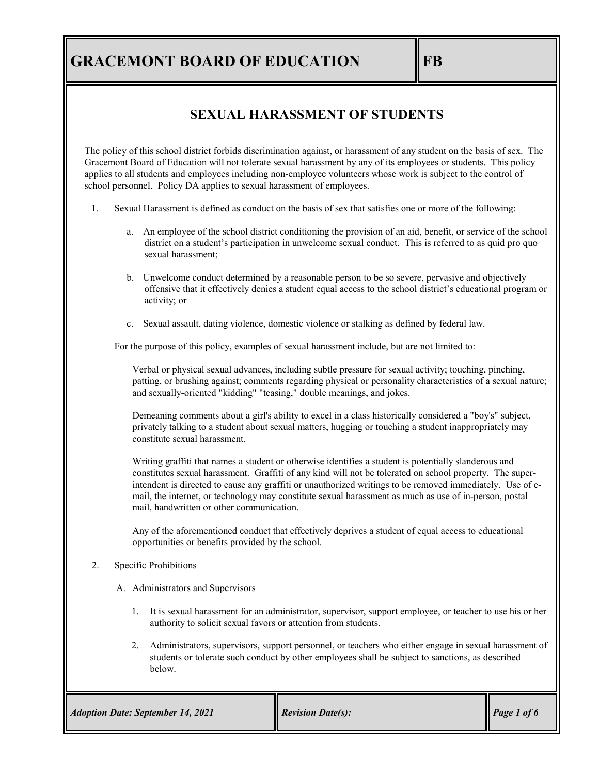## **SEXUAL HARASSMENT OF STUDENTS**

The policy of this school district forbids discrimination against, or harassment of any student on the basis of sex. The Gracemont Board of Education will not tolerate sexual harassment by any of its employees or students. This policy applies to all students and employees including non-employee volunteers whose work is subject to the control of school personnel. Policy DA applies to sexual harassment of employees.

- 1. Sexual Harassment is defined as conduct on the basis of sex that satisfies one or more of the following:
	- a. An employee of the school district conditioning the provision of an aid, benefit, or service of the school district on a student's participation in unwelcome sexual conduct. This is referred to as quid pro quo sexual harassment;
	- b. Unwelcome conduct determined by a reasonable person to be so severe, pervasive and objectively offensive that it effectively denies a student equal access to the school district's educational program or activity; or
	- c. Sexual assault, dating violence, domestic violence or stalking as defined by federal law.

For the purpose of this policy, examples of sexual harassment include, but are not limited to:

Verbal or physical sexual advances, including subtle pressure for sexual activity; touching, pinching, patting, or brushing against; comments regarding physical or personality characteristics of a sexual nature; and sexually-oriented "kidding" "teasing," double meanings, and jokes.

Demeaning comments about a girl's ability to excel in a class historically considered a "boy's" subject, privately talking to a student about sexual matters, hugging or touching a student inappropriately may constitute sexual harassment.

Writing graffiti that names a student or otherwise identifies a student is potentially slanderous and constitutes sexual harassment. Graffiti of any kind will not be tolerated on school property. The superintendent is directed to cause any graffiti or unauthorized writings to be removed immediately. Use of email, the internet, or technology may constitute sexual harassment as much as use of in-person, postal mail, handwritten or other communication.

Any of the aforementioned conduct that effectively deprives a student of equal access to educational opportunities or benefits provided by the school.

#### 2. Specific Prohibitions

A. Administrators and Supervisors

- 1. It is sexual harassment for an administrator, supervisor, support employee, or teacher to use his or her authority to solicit sexual favors or attention from students.
- 2. Administrators, supervisors, support personnel, or teachers who either engage in sexual harassment of students or tolerate such conduct by other employees shall be subject to sanctions, as described below.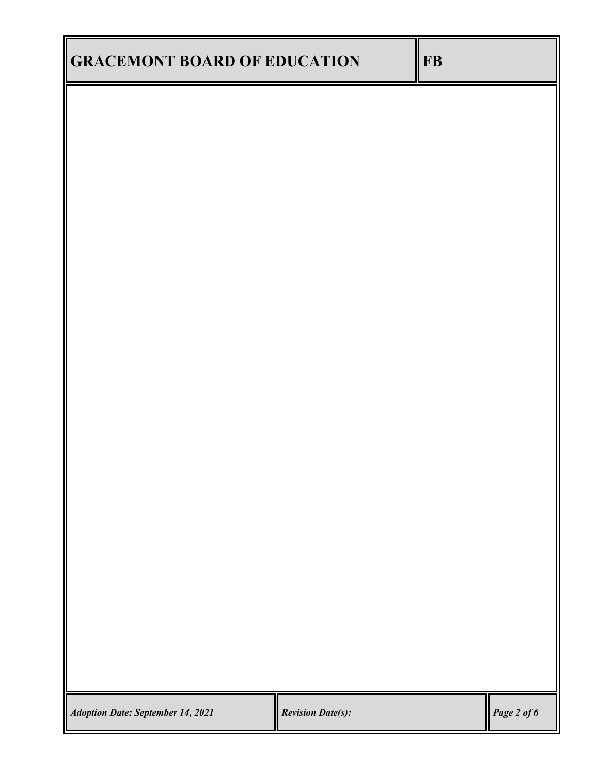| <b>GRACEMONT BOARD OF EDUCATION</b>      |                          | $\mathbf{FB}$ |             |
|------------------------------------------|--------------------------|---------------|-------------|
|                                          |                          |               |             |
|                                          |                          |               |             |
|                                          |                          |               |             |
|                                          |                          |               |             |
|                                          |                          |               |             |
|                                          |                          |               |             |
|                                          |                          |               |             |
|                                          |                          |               |             |
|                                          |                          |               |             |
|                                          |                          |               |             |
|                                          |                          |               |             |
|                                          |                          |               |             |
|                                          |                          |               |             |
| <b>Adoption Date: September 14, 2021</b> | <b>Revision Date(s):</b> |               | Page 2 of 6 |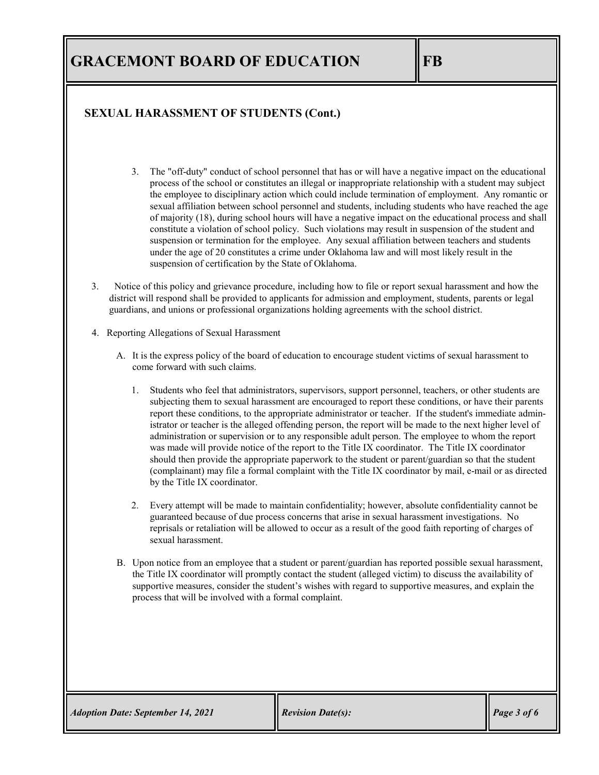### **SEXUAL HARASSMENT OF STUDENTS (Cont.)**

- 3. The "off-duty" conduct of school personnel that has or will have a negative impact on the educational process of the school or constitutes an illegal or inappropriate relationship with a student may subject the employee to disciplinary action which could include termination of employment. Any romantic or sexual affiliation between school personnel and students, including students who have reached the age of majority (18), during school hours will have a negative impact on the educational process and shall constitute a violation of school policy. Such violations may result in suspension of the student and suspension or termination for the employee. Any sexual affiliation between teachers and students under the age of 20 constitutes a crime under Oklahoma law and will most likely result in the suspension of certification by the State of Oklahoma.
- 3. Notice of this policy and grievance procedure, including how to file or report sexual harassment and how the district will respond shall be provided to applicants for admission and employment, students, parents or legal guardians, and unions or professional organizations holding agreements with the school district.
- 4. Reporting Allegations of Sexual Harassment
	- A. It is the express policy of the board of education to encourage student victims of sexual harassment to come forward with such claims.
		- 1. Students who feel that administrators, supervisors, support personnel, teachers, or other students are subjecting them to sexual harassment are encouraged to report these conditions, or have their parents report these conditions, to the appropriate administrator or teacher. If the student's immediate administrator or teacher is the alleged offending person, the report will be made to the next higher level of administration or supervision or to any responsible adult person. The employee to whom the report was made will provide notice of the report to the Title IX coordinator. The Title IX coordinator should then provide the appropriate paperwork to the student or parent/guardian so that the student (complainant) may file a formal complaint with the Title IX coordinator by mail, e-mail or as directed by the Title IX coordinator.
		- 2. Every attempt will be made to maintain confidentiality; however, absolute confidentiality cannot be guaranteed because of due process concerns that arise in sexual harassment investigations. No reprisals or retaliation will be allowed to occur as a result of the good faith reporting of charges of sexual harassment.
	- B. Upon notice from an employee that a student or parent/guardian has reported possible sexual harassment, the Title IX coordinator will promptly contact the student (alleged victim) to discuss the availability of supportive measures, consider the student's wishes with regard to supportive measures, and explain the process that will be involved with a formal complaint.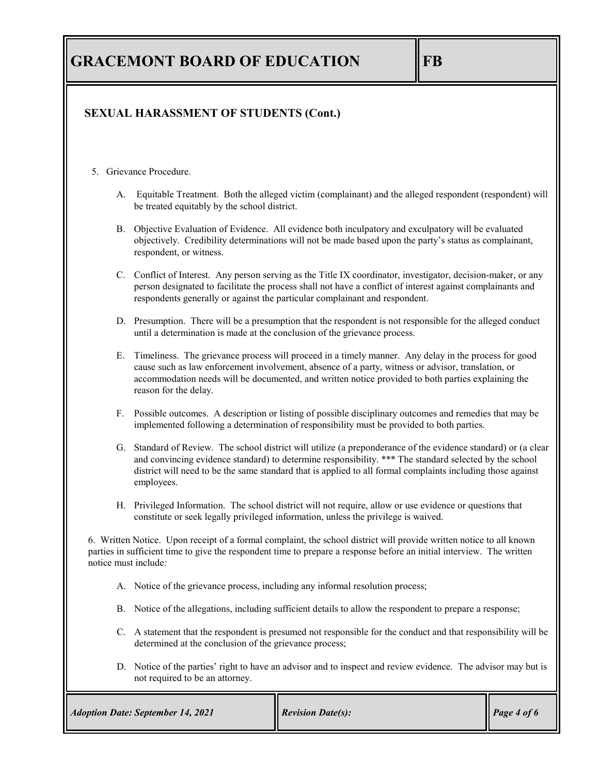### **SEXUAL HARASSMENT OF STUDENTS (Cont.)**

#### 5. Grievance Procedure.

- A. Equitable Treatment. Both the alleged victim (complainant) and the alleged respondent (respondent) will be treated equitably by the school district.
- B. Objective Evaluation of Evidence. All evidence both inculpatory and exculpatory will be evaluated objectively. Credibility determinations will not be made based upon the party's status as complainant, respondent, or witness.
- C. Conflict of Interest. Any person serving as the Title IX coordinator, investigator, decision-maker, or any person designated to facilitate the process shall not have a conflict of interest against complainants and respondents generally or against the particular complainant and respondent.
- D. Presumption. There will be a presumption that the respondent is not responsible for the alleged conduct until a determination is made at the conclusion of the grievance process.
- E. Timeliness. The grievance process will proceed in a timely manner. Any delay in the process for good cause such as law enforcement involvement, absence of a party, witness or advisor, translation, or accommodation needs will be documented, and written notice provided to both parties explaining the reason for the delay.
- F. Possible outcomes. A description or listing of possible disciplinary outcomes and remedies that may be implemented following a determination of responsibility must be provided to both parties.
- G. Standard of Review. The school district will utilize (a preponderance of the evidence standard) or (a clear and convincing evidence standard) to determine responsibility. \*\*\* The standard selected by the school district will need to be the same standard that is applied to all formal complaints including those against employees.
- H. Privileged Information. The school district will not require, allow or use evidence or questions that constitute or seek legally privileged information, unless the privilege is waived.

6. Written Notice. Upon receipt of a formal complaint, the school district will provide written notice to all known parties in sufficient time to give the respondent time to prepare a response before an initial interview. The written notice must include:

- A. Notice of the grievance process, including any informal resolution process;
- B. Notice of the allegations, including sufficient details to allow the respondent to prepare a response;
- C. A statement that the respondent is presumed not responsible for the conduct and that responsibility will be determined at the conclusion of the grievance process;
- D. Notice of the parties' right to have an advisor and to inspect and review evidence. The advisor may but is not required to be an attorney.

| <b>Adoption Date: September 14, 2021</b> | <b>Revision Date(s):</b> | Page 4 of 6 |
|------------------------------------------|--------------------------|-------------|
|                                          |                          |             |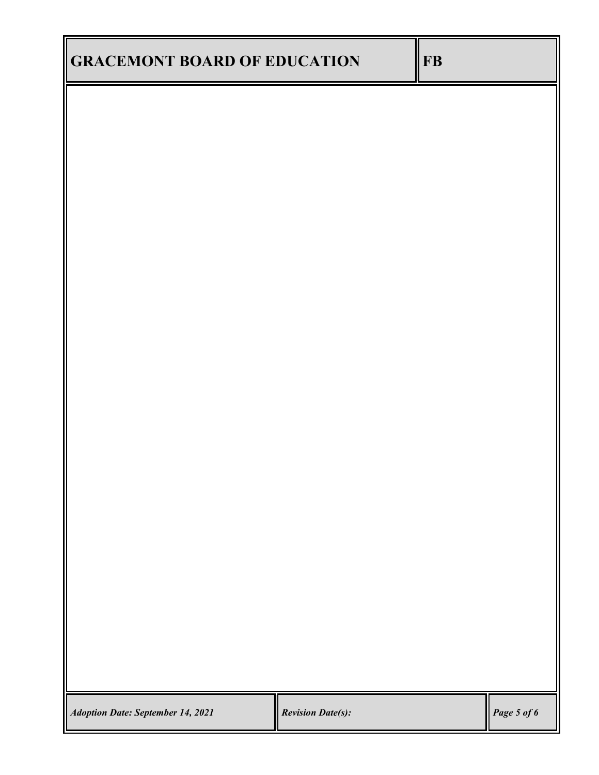| <b>GRACEMONT BOARD OF EDUCATION</b>      |                          | $\mathbf{FB}$ |             |
|------------------------------------------|--------------------------|---------------|-------------|
|                                          |                          |               |             |
|                                          |                          |               |             |
|                                          |                          |               |             |
|                                          |                          |               |             |
|                                          |                          |               |             |
|                                          |                          |               |             |
|                                          |                          |               |             |
|                                          |                          |               |             |
|                                          |                          |               |             |
|                                          |                          |               |             |
|                                          |                          |               |             |
|                                          |                          |               |             |
|                                          |                          |               |             |
| <b>Adoption Date: September 14, 2021</b> | <b>Revision Date(s):</b> |               | Page 5 of 6 |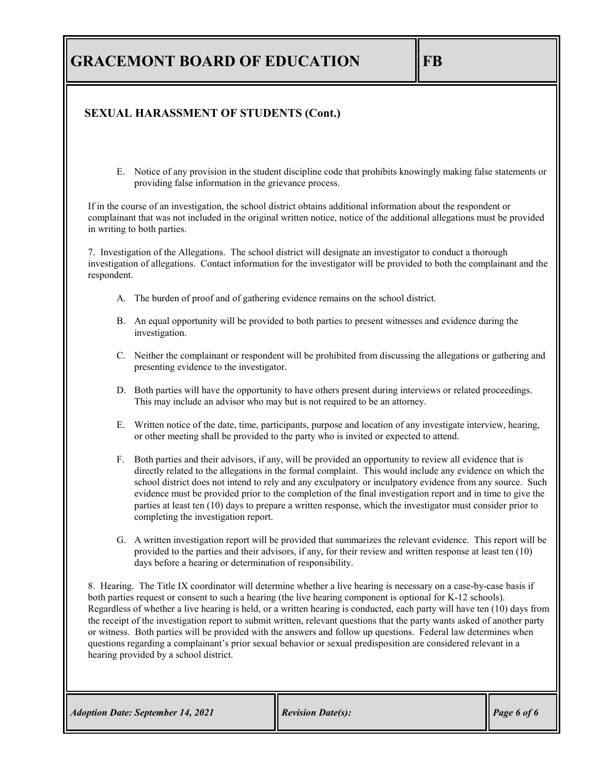### **SEXUAL HARASSMENT OF STUDENTS (Cont.)**

E. Notice of any provision in the student discipline code that prohibits knowingly making false statements or providing false information in the grievance process.

If in the course of an investigation, the school district obtains additional information about the respondent or complainant that was not included in the original written notice, notice of the additional allegations must be provided in writing to both parties.

7. Investigation of the Allegations. The school district will designate an investigator to conduct a thorough investigation of allegations. Contact information for the investigator will be provided to both the complainant and the respondent.

- A. The burden of proof and of gathering evidence remains on the school district.
- B. An equal opportunity will be provided to both parties to present witnesses and evidence during the investigation.
- C. Neither the complainant or respondent will be prohibited from discussing the allegations or gathering and presenting evidence to the investigator.
- D. Both parties will have the opportunity to have others present during interviews or related proceedings. This may include an advisor who may but is not required to be an attorney.
- E. Written notice of the date, time, participants, purpose and location of any investigate interview, hearing, or other meeting shall be provided to the party who is invited or expected to attend.
- F. Both parties and their advisors, if any, will be provided an opportunity to review all evidence that is directly related to the allegations in the formal complaint. This would include any evidence on which the school district does not intend to rely and any exculpatory or inculpatory evidence from any source. Such evidence must be provided prior to the completion of the final investigation report and in time to give the parties at least ten (10) days to prepare a written response, which the investigator must consider prior to completing the investigation report.
- G. A written investigation report will be provided that summarizes the relevant evidence. This report will be provided to the parties and their advisors, if any, for their review and written response at least ten (10) days before a hearing or determination of responsibility.

8. Hearing. The Title IX coordinator will determine whether a live hearing is necessary on a case-by-case basis if both parties request or consent to such a hearing (the live hearing component is optional for K-12 schools). Regardless of whether a live hearing is held, or a written hearing is conducted, each party will have ten (10) days from the receipt of the investigation report to submit written, relevant questions that the party wants asked of another party or witness. Both parties will be provided with the answers and follow up questions. Federal law determines when questions regarding a complainant's prior sexual behavior or sexual predisposition are considered relevant in a hearing provided by a school district.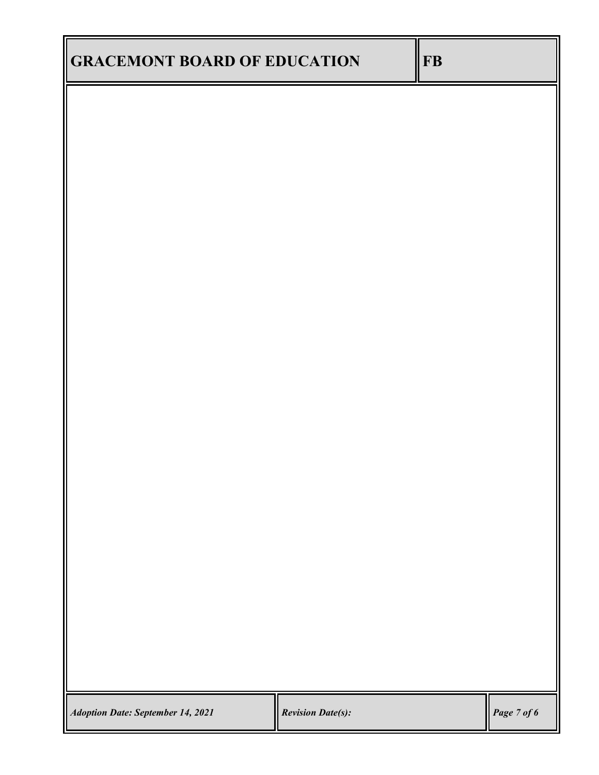| <b>GRACEMONT BOARD OF EDUCATION</b>      |                          | $\mathbf{FB}$ |             |
|------------------------------------------|--------------------------|---------------|-------------|
|                                          |                          |               |             |
|                                          |                          |               |             |
|                                          |                          |               |             |
|                                          |                          |               |             |
|                                          |                          |               |             |
|                                          |                          |               |             |
|                                          |                          |               |             |
|                                          |                          |               |             |
|                                          |                          |               |             |
|                                          |                          |               |             |
|                                          |                          |               |             |
|                                          |                          |               |             |
|                                          |                          |               |             |
| <b>Adoption Date: September 14, 2021</b> | <b>Revision Date(s):</b> |               | Page 7 of 6 |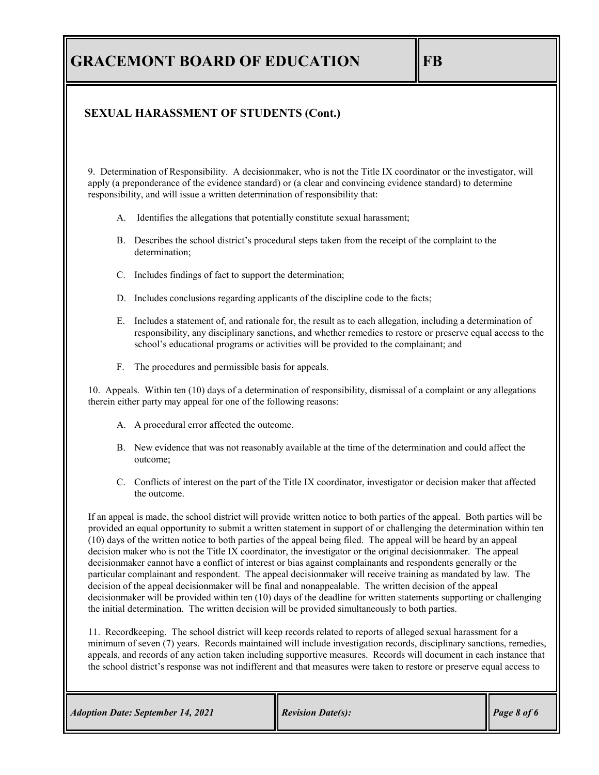### **SEXUAL HARASSMENT OF STUDENTS (Cont.)**

9. Determination of Responsibility. A decisionmaker, who is not the Title IX coordinator or the investigator, will apply (a preponderance of the evidence standard) or (a clear and convincing evidence standard) to determine responsibility, and will issue a written determination of responsibility that:

- A. Identifies the allegations that potentially constitute sexual harassment;
- B. Describes the school district's procedural steps taken from the receipt of the complaint to the determination;
- C. Includes findings of fact to support the determination;
- D. Includes conclusions regarding applicants of the discipline code to the facts;
- E. Includes a statement of, and rationale for, the result as to each allegation, including a determination of responsibility, any disciplinary sanctions, and whether remedies to restore or preserve equal access to the school's educational programs or activities will be provided to the complainant; and
- F. The procedures and permissible basis for appeals.

10. Appeals. Within ten (10) days of a determination of responsibility, dismissal of a complaint or any allegations therein either party may appeal for one of the following reasons:

- A. A procedural error affected the outcome.
- B. New evidence that was not reasonably available at the time of the determination and could affect the outcome;
- C. Conflicts of interest on the part of the Title IX coordinator, investigator or decision maker that affected the outcome.

If an appeal is made, the school district will provide written notice to both parties of the appeal. Both parties will be provided an equal opportunity to submit a written statement in support of or challenging the determination within ten (10) days of the written notice to both parties of the appeal being filed. The appeal will be heard by an appeal decision maker who is not the Title IX coordinator, the investigator or the original decisionmaker. The appeal decisionmaker cannot have a conflict of interest or bias against complainants and respondents generally or the particular complainant and respondent. The appeal decisionmaker will receive training as mandated by law. The decision of the appeal decisionmaker will be final and nonappealable. The written decision of the appeal decisionmaker will be provided within ten (10) days of the deadline for written statements supporting or challenging the initial determination. The written decision will be provided simultaneously to both parties.

11. Recordkeeping. The school district will keep records related to reports of alleged sexual harassment for a minimum of seven (7) years. Records maintained will include investigation records, disciplinary sanctions, remedies, appeals, and records of any action taken including supportive measures. Records will document in each instance that the school district's response was not indifferent and that measures were taken to restore or preserve equal access to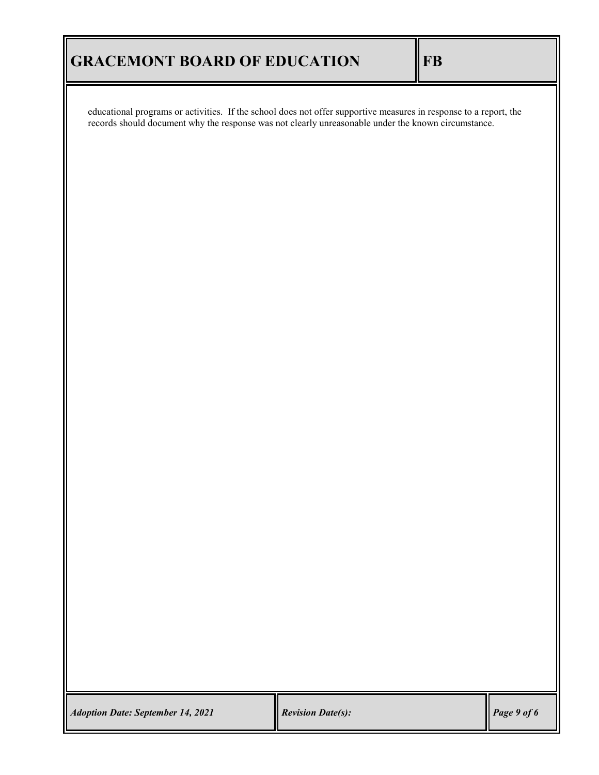educational programs or activities. If the school does not offer supportive measures in response to a report, the records should document why the response was not clearly unreasonable under the known circumstance.